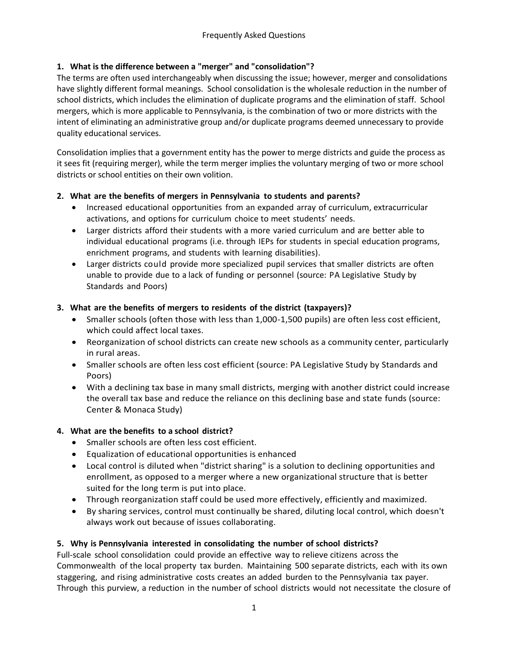# **1. What is the difference between a "merger" and "consolidation"?**

The terms are often used interchangeably when discussing the issue; however, merger and consolidations have slightly different formal meanings. School consolidation is the wholesale reduction in the number of school districts, which includes the elimination of duplicate programs and the elimination of staff. School mergers, which is more applicable to Pennsylvania, is the combination of two or more districts with the intent of eliminating an administrative group and/or duplicate programs deemed unnecessary to provide quality educational services.

Consolidation implies that a government entity has the power to merge districts and guide the process as it sees fit (requiring merger), while the term merger implies the voluntary merging of two or more school districts or school entities on their own volition.

## **2. What are the benefits of mergers in Pennsylvania to students and parents?**

- Increased educational opportunities from an expanded array of curriculum, extracurricular activations, and options for curriculum choice to meet students' needs.
- Larger districts afford their students with a more varied curriculum and are better able to individual educational programs (i.e. through IEPs for students in special education programs, enrichment programs, and students with learning disabilities).
- Larger districts could provide more specialized pupil services that smaller districts are often unable to provide due to a lack of funding or personnel (source: PA Legislative Study by Standards and Poors)

## **3. What are the benefits of mergers to residents of the district (taxpayers)?**

- Smaller schools (often those with less than 1,000-1,500 pupils) are often less cost efficient, which could affect local taxes.
- Reorganization of school districts can create new schools as a community center, particularly in rural areas.
- Smaller schools are often less cost efficient (source: PA Legislative Study by Standards and Poors)
- With a declining tax base in many small districts, merging with another district could increase the overall tax base and reduce the reliance on this declining base and state funds (source: Center & Monaca Study)

# **4. What are the benefits to a school district?**

- Smaller schools are often less cost efficient.
- Equalization of educational opportunities is enhanced
- Local control is diluted when "district sharing" is a solution to declining opportunities and enrollment, as opposed to a merger where a new organizational structure that is better suited for the long term is put into place.
- Through reorganization staff could be used more effectively, efficiently and maximized.
- By sharing services, control must continually be shared, diluting local control, which doesn't always work out because of issues collaborating.

# **5. Why is Pennsylvania interested in consolidating the number of school districts?**

Full-scale school consolidation could provide an effective way to relieve citizens across the Commonwealth of the local property tax burden. Maintaining 500 separate districts, each with its own staggering, and rising administrative costs creates an added burden to the Pennsylvania tax payer. Through this purview, a reduction in the number of school districts would not necessitate the closure of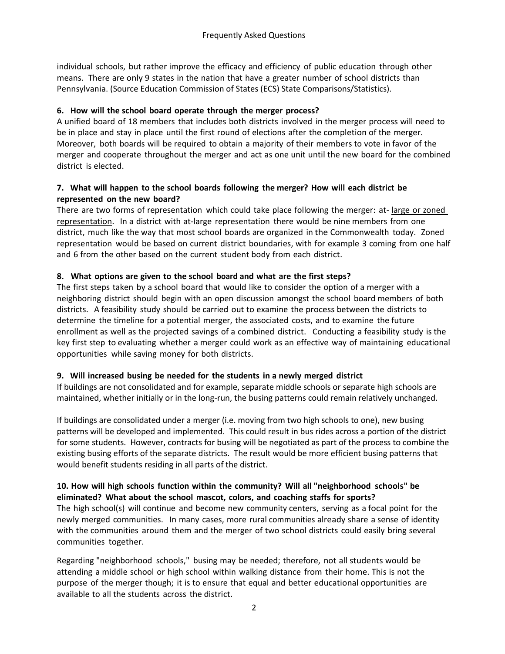individual schools, but rather improve the efficacy and efficiency of public education through other means. There are only 9 states in the nation that have a greater number of school districts than Pennsylvania. (Source Education Commission of States (ECS) State Comparisons/Statistics).

## **6. How will the school board operate through the merger process?**

A unified board of 18 members that includes both districts involved in the merger process will need to be in place and stay in place until the first round of elections after the completion of the merger. Moreover, both boards will be required to obtain a majority of their members to vote in favor of the merger and cooperate throughout the merger and act as one unit until the new board for the combined district is elected.

## **7. What will happen to the school boards following the merger? How will each district be represented on the new board?**

There are two forms of representation which could take place following the merger: at- large or zoned representation. In a district with at-large representation there would be nine members from one district, much like the way that most school boards are organized in the Commonwealth today. Zoned representation would be based on current district boundaries, with for example 3 coming from one half and 6 from the other based on the current student body from each district.

## **8. What options are given to the school board and what are the first steps?**

The first steps taken by a school board that would like to consider the option of a merger with a neighboring district should begin with an open discussion amongst the school board members of both districts. A feasibility study should be carried out to examine the process between the districts to determine the timeline for a potential merger, the associated costs, and to examine the future enrollment as well as the projected savings of a combined district. Conducting a feasibility study is the key first step to evaluating whether a merger could work as an effective way of maintaining educational opportunities while saving money for both districts.

## **9. Will increased busing be needed for the students in a newly merged district**

If buildings are not consolidated and for example, separate middle schools or separate high schools are maintained, whether initially or in the long-run, the busing patterns could remain relatively unchanged.

If buildings are consolidated under a merger (i.e. moving from two high schools to one), new busing patterns will be developed and implemented. This could result in bus rides across a portion of the district for some students. However, contracts for busing will be negotiated as part of the process to combine the existing busing efforts of the separate districts. The result would be more efficient busing patterns that would benefit students residing in all parts of the district.

## **10. How will high schools function within the community? Will all "neighborhood schools" be eliminated? What about the school mascot, colors, and coaching staffs for sports?**

The high school(s) will continue and become new community centers, serving as a focal point for the newly merged communities. In many cases, more rural communities already share a sense of identity with the communities around them and the merger of two school districts could easily bring several communities together.

Regarding "neighborhood schools," busing may be needed; therefore, not all students would be attending a middle school or high school within walking distance from their home. This is not the purpose of the merger though; it is to ensure that equal and better educational opportunities are available to all the students across the district.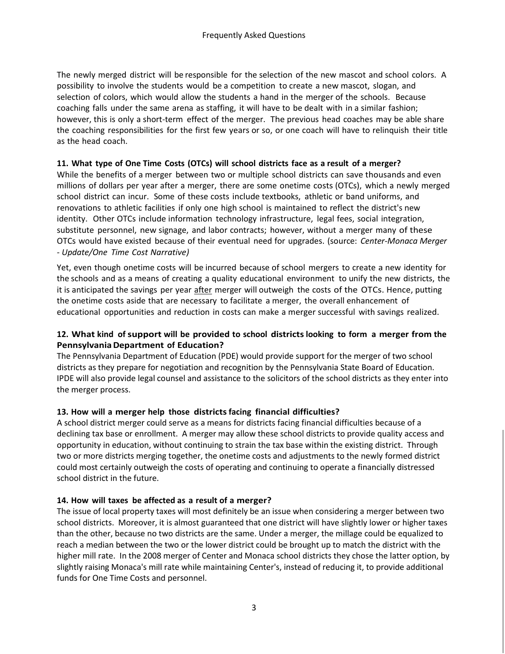The newly merged district will be responsible for the selection of the new mascot and school colors. A possibility to involve the students would be a competition to create a new mascot, slogan, and selection of colors, which would allow the students a hand in the merger of the schools. Because coaching falls under the same arena as staffing, it will have to be dealt with in a similar fashion; however, this is only a short-term effect of the merger. The previous head coaches may be able share the coaching responsibilities for the first few years or so, or one coach will have to relinquish their title as the head coach.

#### **11. What type of One Time Costs (OTCs) will school districts face as a result of a merger?**

While the benefits of a merger between two or multiple school districts can save thousands and even millions of dollars per year after a merger, there are some onetime costs (OTCs), which a newly merged school district can incur. Some of these costs include textbooks, athletic or band uniforms, and renovations to athletic facilities if only one high school is maintained to reflect the district's new identity. Other OTCs include information technology infrastructure, legal fees, social integration, substitute personnel, new signage, and labor contracts; however, without a merger many of these OTCs would have existed because of their eventual need for upgrades. (source: *Center-Monaca Merger - Update/One Time Cost Narrative)*

Yet, even though onetime costs will be incurred because of school mergers to create a new identity for the schools and as a means of creating a quality educational environment to unify the new districts, the it is anticipated the savings per year after merger will outweigh the costs of the OTCs. Hence, putting the onetime costs aside that are necessary to facilitate a merger, the overall enhancement of educational opportunities and reduction in costs can make a merger successful with savings realized.

## **12. What kind of support will be provided to school districtslooking to form a merger from the PennsylvaniaDepartment of Education?**

The Pennsylvania Department of Education (PDE) would provide support for the merger of two school districts as they prepare for negotiation and recognition by the Pennsylvania State Board of Education. IPDE will also provide legal counsel and assistance to the solicitors of the school districts as they enter into the merger process.

## **13. How will a merger help those districtsfacing financial difficulties?**

A school district merger could serve as a means for districts facing financial difficulties because of a declining tax base or enrollment. A merger may allow these school districts to provide quality access and opportunity in education, without continuing to strain the tax base within the existing district. Through two or more districts merging together, the onetime costs and adjustments to the newly formed district could most certainly outweigh the costs of operating and continuing to operate a financially distressed school district in the future.

## **14. How will taxes be affected as a result of a merger?**

The issue of local property taxes will most definitely be an issue when considering a merger between two school districts. Moreover, it is almost guaranteed that one district will have slightly lower or higher taxes than the other, because no two districts are the same. Under a merger, the millage could be equalized to reach a median between the two or the lower district could be brought up to match the district with the higher mill rate. In the 2008 merger of Center and Monaca school districts they chose the latter option, by slightly raising Monaca's mill rate while maintaining Center's, instead of reducing it, to provide additional funds for One Time Costs and personnel.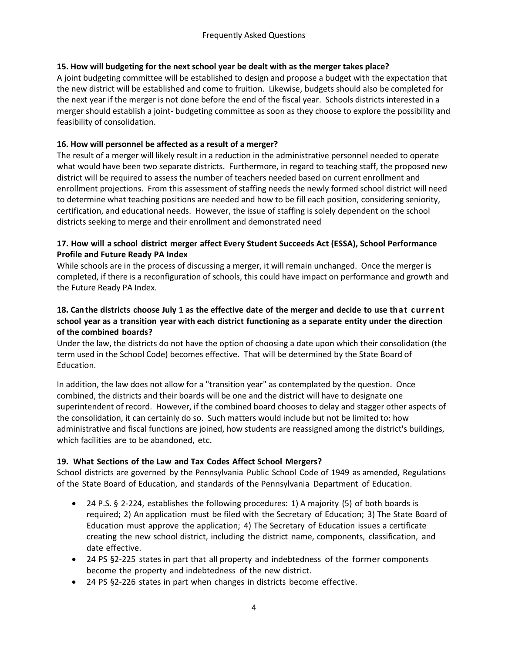## **15. How will budgeting for the next school year be dealt with as the merger takes place?**

A joint budgeting committee will be established to design and propose a budget with the expectation that the new district will be established and come to fruition. Likewise, budgets should also be completed for the next year if the merger is not done before the end of the fiscal year. Schools districts interested in a merger should establish a joint- budgeting committee as soon as they choose to explore the possibility and feasibility of consolidation.

#### **16. How will personnel be affected as a result of a merger?**

The result of a merger will likely result in a reduction in the administrative personnel needed to operate what would have been two separate districts. Furthermore, in regard to teaching staff, the proposed new district will be required to assess the number of teachers needed based on current enrollment and enrollment projections. From this assessment of staffing needs the newly formed school district will need to determine what teaching positions are needed and how to be fill each position, considering seniority, certification, and educational needs. However, the issue of staffing is solely dependent on the school districts seeking to merge and their enrollment and demonstrated need

### **17. How will a school district merger affect Every Student Succeeds Act (ESSA), School Performance Profile and Future Ready PA Index**

While schools are in the process of discussing a merger, it will remain unchanged. Once the merger is completed, if there is a reconfiguration of schools, this could have impact on performance and growth and the Future Ready PA Index.

## **18. Can the districts choose July 1 as the effective date of the merger and decide to use that c urrent school year as a transition year with each district functioning as a separate entity under the direction of the combined boards?**

Under the law, the districts do not have the option of choosing a date upon which their consolidation (the term used in the School Code) becomes effective. That will be determined by the State Board of Education.

In addition, the law does not allow for a "transition year" as contemplated by the question. Once combined, the districts and their boards will be one and the district will have to designate one superintendent of record. However, if the combined board chooses to delay and stagger other aspects of the consolidation, it can certainly do so. Such matters would include but not be limited to: how administrative and fiscal functions are joined, how students are reassigned among the district's buildings, which facilities are to be abandoned, etc.

## **19. What Sections of the Law and Tax Codes Affect School Mergers?**

School districts are governed by the Pennsylvania Public School Code of 1949 as amended, Regulations of the State Board of Education, and standards of the Pennsylvania Department of Education.

- 24 P.S. § 2-224, establishes the following procedures: 1) A majority (5) of both boards is required; 2) An application must be filed with the Secretary of Education; 3) The State Board of Education must approve the application; 4) The Secretary of Education issues a certificate creating the new school district, including the district name, components, classification, and date effective.
- 24 PS §2-225 states in part that all property and indebtedness of the former components become the property and indebtedness of the new district.
- 24 PS §2-226 states in part when changes in districts become effective.